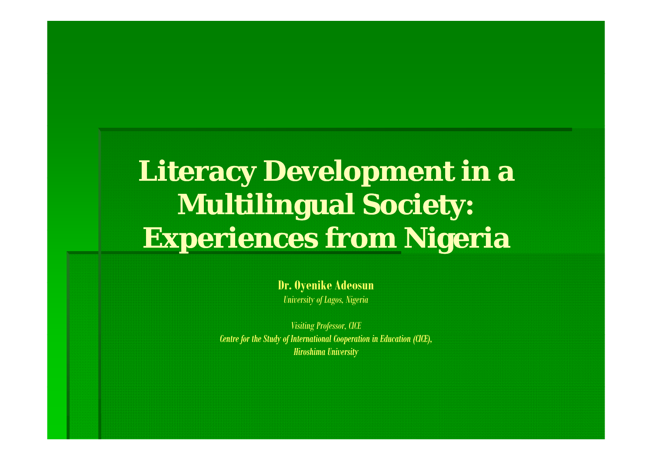## **Literacy Development in a Multilingual Society: E i f Ni i Exper iences from Niger a**

**D O ik Ad Dr. Oyenik e Adeosun** *University of Lagos, Nigeria*

*Visiting Professor, CICE Centre for the Study of International Cooperation in Education (CICE), Hiroshima University*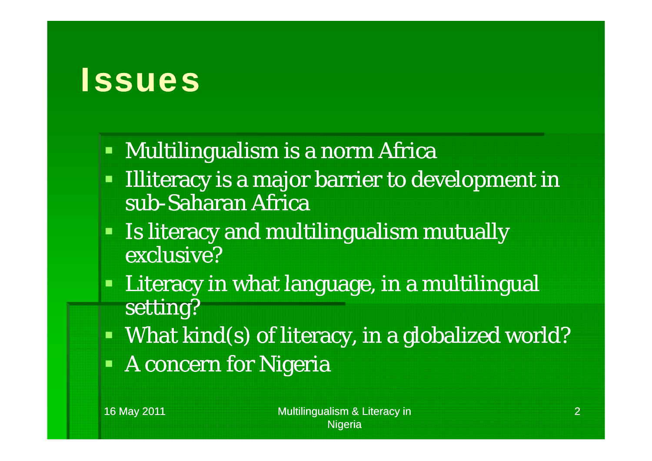## **Issues**

- Multilingualism is a norm Africa
- Ŧ Illiteracy is a major barrier to development in sub-Saharan Africa
- Is literacy and multilingualism mutually exclusive?
- O Literacy in what language, in a multilingual setting?
- $\blacksquare$  What kind(s) of literacy, in a globalized world?
- A concern for Nigeria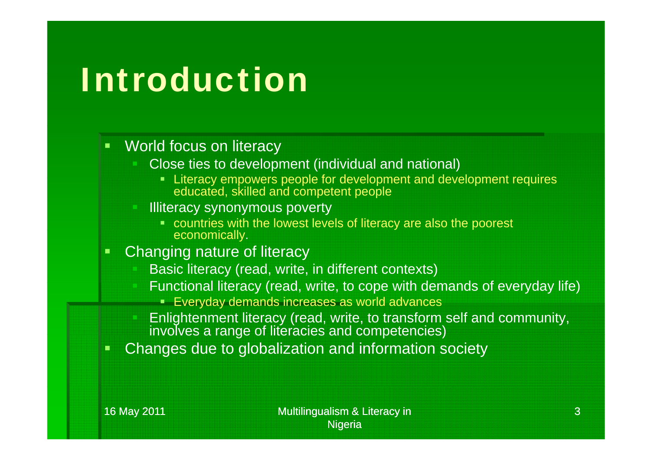# Introduction

#### $\blacksquare$ World focus on literacy

- Close ties to development (individual and national)
	- Literacy empowers people for development and development requires educated, skilled and competent people
- Illiteracy synonymous poverty
	- countries with the lowest levels of literacy are also the poorest economically.
- Changing nature of literacy
	- Basic literacy (read, write, in different contexts)
	- Functional literacy (read, write, to cope with demands of everyday life)
		- Everyday demands increases as world advances
	- Enlightenment literacy (read, write, to transform self and community, involves a range of literacies and competencies)
- Changes due to globalization and information society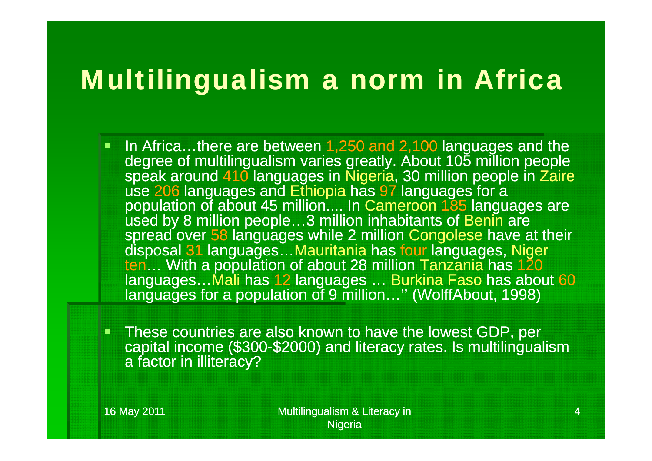### Multilingualism a norm in Africa

- In Africa…there are between 1,250 and 2,100 languages and the degree of multilingualism varies greatly. About 105 million people speak around 410 languages in Nigeria, 30 million people in Zaire use 206 languages and Ethiopia has 97 languages for a population of about 45 million.... In Cameroon 185 languages are used by 8 million people…3 million inhabitants of Benin are spread over 58 languages while 2 million Congolese have at their disposal 31 languages…Mauritania has four languages, Niger ten… With a population of about 28 million Tanzania has 120 languages…Mali has 12 languages … Burkina Faso has about 60 languages for a population of 9 million…'' (WolffAbout, 1998)
- These countries are also known to have the lowest GDP, per capital income (\$300-\$2000) and literacy rates. Is multilingualism a factor in illiteracy?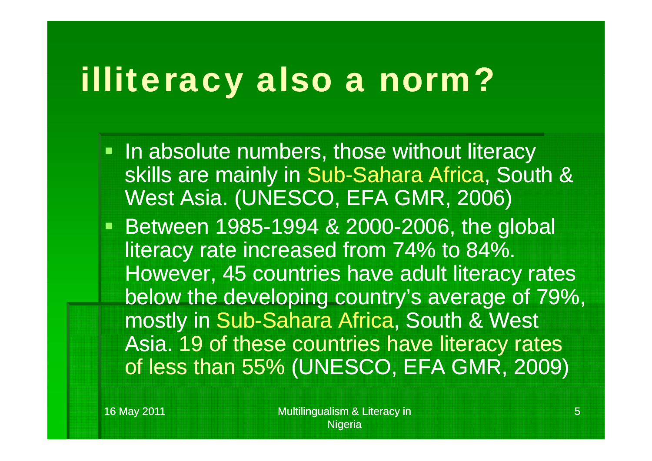#### illiteracy also a norm? y also a norm

- In absolute numbers, those without literacy skills are mainly in Sub -Sahara Africa Sahara Africa, South & West Asia. (UNESCO, EFA GMR, 2006)
- **Between 1985-1994 & 2000-2006, the global** literacy rate increased from 74% to 84%. However, 45 countries have adult literacy rates below the developing country's average of 79%, mostly in Sub-Sahara Africa, South & West Asia. 19 of these countries have literacy rates of less than 55% (UNESCO, EFA GMR, 2009)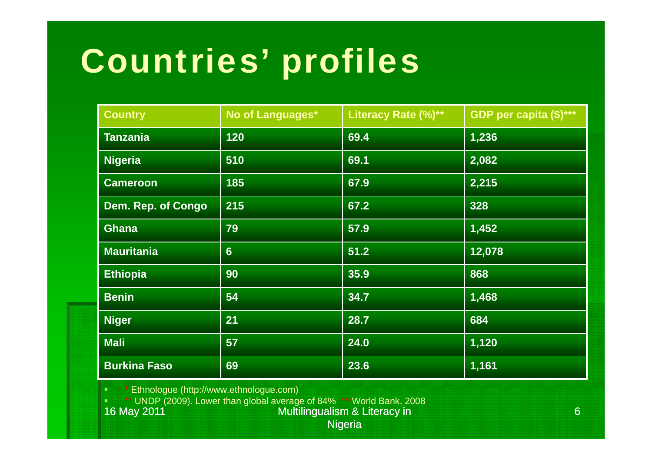# Countries' profiles

| <b>Country</b>      | No of Languages* | Literacy Rate (%)** | GDP per capita (\$)*** |
|---------------------|------------------|---------------------|------------------------|
| <b>Tanzania</b>     | 120              | 69.4                | 1,236                  |
| <b>Nigeria</b>      | 510              | 69.1                | 2,082                  |
| <b>Cameroon</b>     | 185              | 67.9                | 2,215                  |
| Dem. Rep. of Congo  | 215              | 67.2                | 328                    |
| <b>Ghana</b>        | 79               | 57.9                | 1,452                  |
| <b>Mauritania</b>   | $6\phantom{1}$   | 51.2                | 12,078                 |
| <b>Ethiopia</b>     | 90               | 35.9                | 868                    |
| <b>Benin</b>        | 54               | 34.7                | 1,468                  |
| <b>Niger</b>        | 21               | 28.7                | 684                    |
| <b>Mali</b>         | 57               | 24.0                | 1,120                  |
| <b>Burkina Faso</b> | 69               | 23.6                | 1,161                  |

**\*** \* Ethnologue (http://www.ethnologue.com) г

**\*\*\*\*** UNDP (2009). Lower than global average of 84% \*\*\*World Bank, 2008

16 May 2011 **Multilingualism & Literacy in** 

Nigeria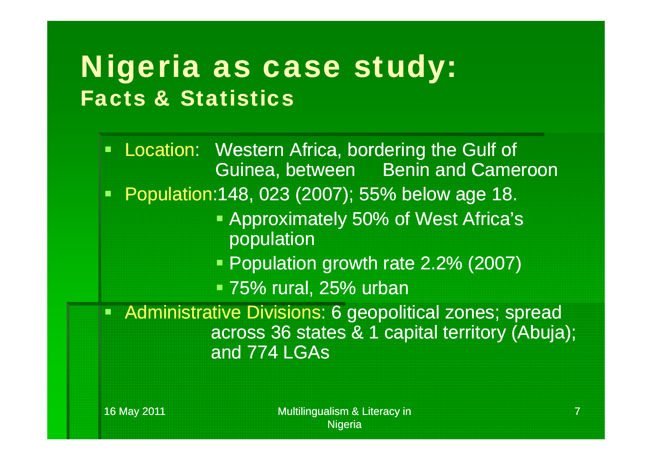## Nigeria as case study: Facts & Statistics

 $\blacksquare$ Location: Western Africa, bordering the Gulf of Guinea, between Benin and Cameroon Population:148, 023 (2007); 55% below age 18. **Approximately 50% of West Africa's** population Population growth rate 2.2% (2007) • 75% rural, 25% urban Administrative Divisions: 6 geopolitical zones; spread across 36 states & 1 capital territory (Abuja); and 774 LGAs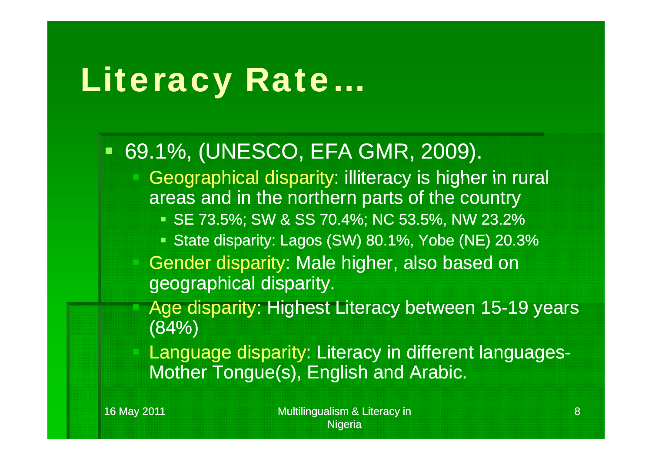#### Literacy Rate y kat …

#### 69.1%, (UNESCO, EFA GMR, 2009).

- Geographical disparity: illiteracy is higher in rural areas and in the northern parts of the country
	- SE 73.5%; SW & SS 70.4%; NC 53.5%, NW 23.2%
	- State disparity: Lagos (SW) 80.1%, Yobe (NE) 20.3%
- Gender disparity: Male higher, also based on geographical disparity.
- Age disparity: Highest Literacy between 15-19 years (84%)
- Language disparity: Literacy in different languages-Mother Tongue(s), English and Arabic.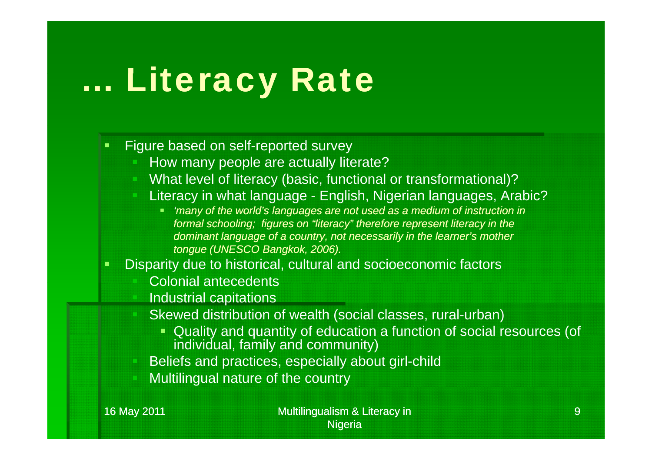#### … Literacy Rate y Rate

#### Figure based on self-reported survey

- How many people are actually literate?
- What level of literacy (basic, functional or transformational)?
- Literacy in what language English, Nigerian languages, Arabic?
	- *'many of the world's languages are not used as a medium of instruction in formal schooling; figures on "literacy" therefore represent literacy in the dominant language of a country, not necessarily in the learner's mother tongue (UNESCO Bangkok, 2006).*
- г Disparity due to historical, cultural and socioeconomic factors
	- Colonial antecedents
	- Industrial capitations
	- Skewed distribution of wealth (social classes, rural-urban)
		- Quality and quantity of education <sup>a</sup> function of social resources (of individual, family and community)
	- Beliefs and practices, especially about girl-child
	- Multilingual nature of the country

16 May 2011 **Multilingualism & Literacy in** Multilingualism & Literacy in **Nigeria**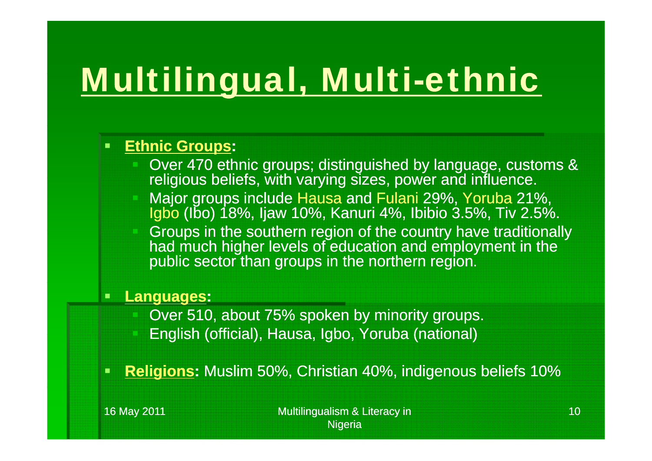# <u>Multilingual, Multi-ethnic</u>

#### **Ethnic Groups:**

- Over 470 ethnic groups; distinguished by language, customs & religious beliefs, with varying sizes, power and influence.
- Major groups include Hausa and Fulani 29%, Yoruba 21%, Igbo (Ibo) 18%, Ijaw 10%, Kanuri 4%, Ibibio 3.5%, Tiv 2.5%.
- Groups in the southern region of the country have traditionally had much higher levels of education and employment in the public sector than groups in the northern region.

#### $\blacksquare$ **Languages:**

- Over 510, about 75% spoken by minority groups.
- English (official), Hausa, Igbo, Yoruba (national)
- **Religions:** Muslim 50%, Christian 40%, indigenous beliefs 10%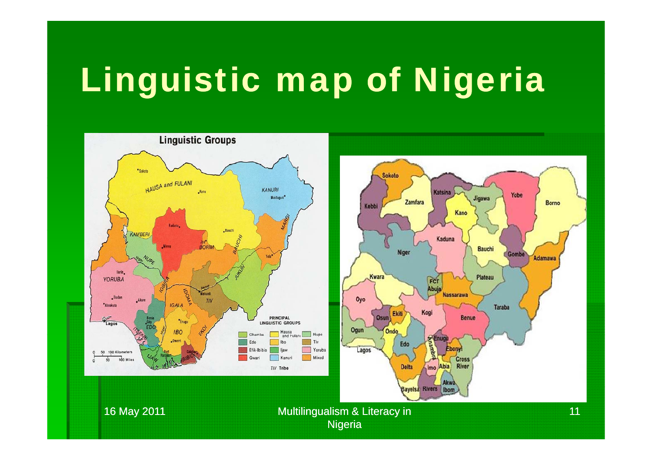# Linguistic map of Nigeria

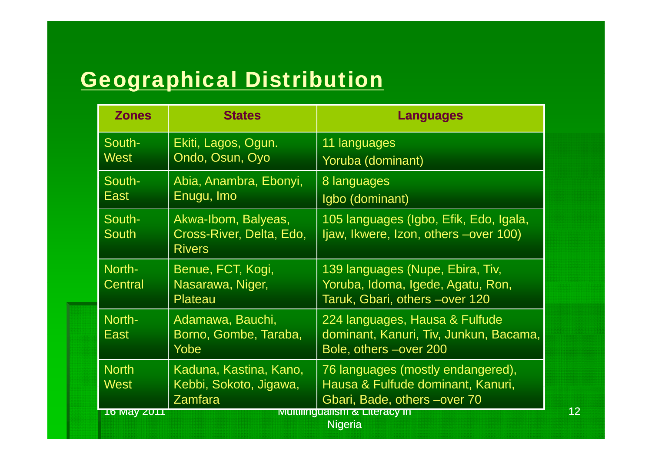#### <u>Geographical Distribution</u>

| <b>Zones</b>                                                                   | <b>States</b>                                                    | <b>Languages</b>                                                                                        |
|--------------------------------------------------------------------------------|------------------------------------------------------------------|---------------------------------------------------------------------------------------------------------|
| South-<br>West                                                                 | Ekiti, Lagos, Ogun.<br>Ondo, Osun, Oyo                           | 11 languages<br>Yoruba (dominant)                                                                       |
| South-<br><b>East</b>                                                          | Abia, Anambra, Ebonyi,<br>Enugu, Imo                             | 8 languages<br>Igbo (dominant)                                                                          |
| South-<br><b>South</b>                                                         | Akwa-Ibom, Balyeas,<br>Cross-River, Delta, Edo,<br><b>Rivers</b> | 105 languages (Igbo, Efik, Edo, Igala,<br>Ijaw, Ikwere, Izon, others -over 100)                         |
| North-<br>Central                                                              | Benue, FCT, Kogi,<br>Nasarawa, Niger,<br>Plateau                 | 139 languages (Nupe, Ebira, Tiv,<br>Yoruba, Idoma, Igede, Agatu, Ron,<br>Taruk, Gbari, others -over 120 |
| North-<br>East                                                                 | Adamawa, Bauchi,<br>Borno, Gombe, Taraba,<br>Yobe                | 224 languages, Hausa & Fulfude<br>dominant, Kanuri, Tiv, Junkun, Bacama,<br>Bole, others -over 200      |
| <b>North</b><br><b>West</b>                                                    | Kaduna, Kastina, Kano,<br>Kebbi, Sokoto, Jigawa,<br>Zamfara      | 76 languages (mostly endangered),<br>Hausa & Fulfude dominant, Kanuri,<br>Gbari, Bade, others -over 70  |
| <b>Multimgualism &amp; Literacy in</b><br><u>To May ZUTT</u><br><b>Nigeria</b> |                                                                  |                                                                                                         |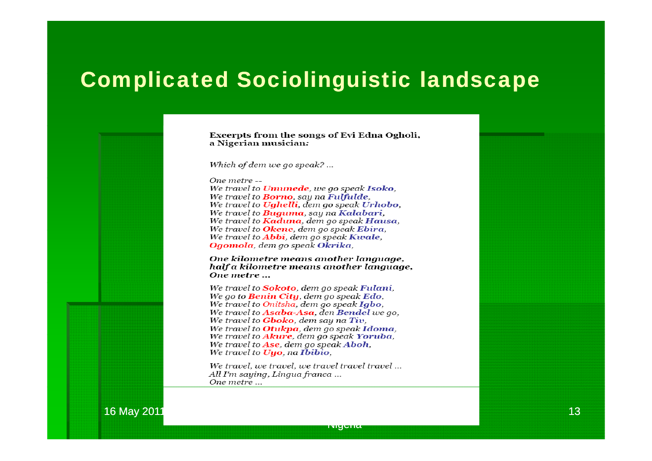#### Complicated Sociolinguistic landscape

Excerpts from the songs of Evi Edna Ogholi, a Nigerian musician:

Which of dem we go speak? ...

One metre --We travel to **Umunede**, we go speak **Isoko**, We travel to **Borno**, say na **Fulfulde**. We travel to **Ughelli**, dem go speak **Urhobo**. We travel to **Buguma**, say na **Kalabari**, We travel to **Kaduna**, dem go speak Hausa, We travel to Okene, dem go speak Ebira, We travel to **Abbi**, dem go speak **Kwale**, Ogomola, dem go speak Okrika,

One kilometre means another language, half a kilometre means another language, One metre ...

We travel to **Sokoto**, dem ao speak **Fulani**, We go to **Benin City**, dem go speak **Edo**. We travel to Onitsha, dem go speak Igbo. We travel to Asaba-Asa, den Bendel we ao. We travel to **Gboko**, dem say na Tiv, We travel to **Otukpa**, dem ao speak **Idoma**, We travel to **Akure**, dem ao speak **Yoruba**. We travel to Ase, dem go speak Aboh, We travel to **Uuo**, na Ibibio.

We travel, we travel, we travel travel travel ... All I'm saying, Lingua franca ... One metre ...

16 May 2011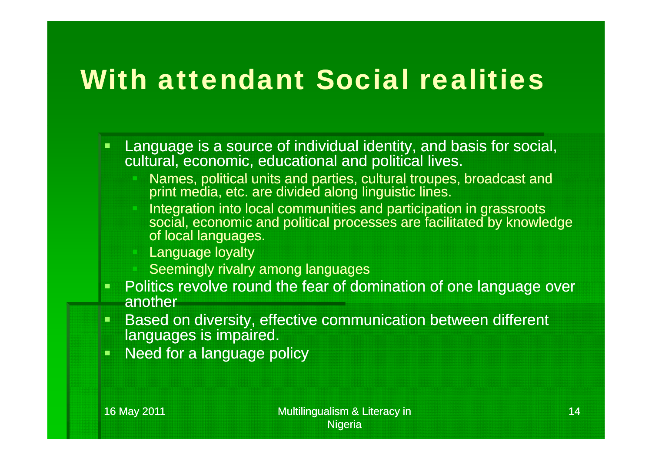## With attendant Social realities

- Language is a source of individual identity, and basis for social, cultural, economic, educational and political lives.
	- Kames, political units and parties, cultural troupes, broadcast and print media, etc. are divided along linguistic lines.
	- **Integration into local communities and participation in grassroots** social, economic and political processes are facilitated by knowledge of local languages.
	- Language loyalty
	- Seemingly rivalry among languages
- Politics revolve round the fear of domination of one language over another
- Τ Based on diversity, effective communication between different languages is impaired.
- Need for a language policy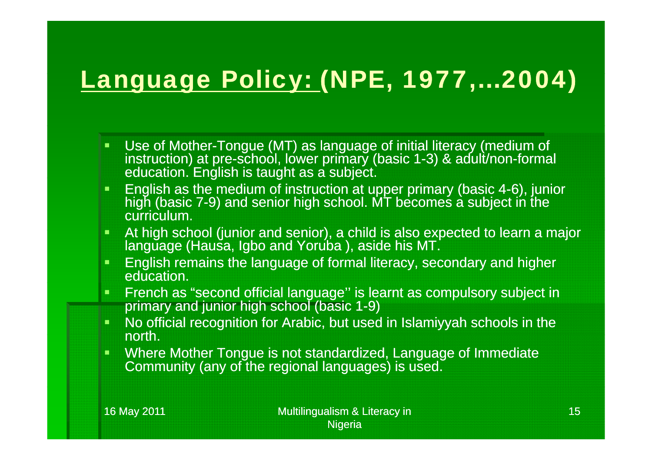### <u>Language Policy: (</u>NPE, 1977,…2004)

- Use of Mother-Tongue (MT) as language of initial literacy (medium of instruction) at pre-school, lower primary (basic 1-3) & adult/non-formal education. English is taught as a subject.
- **English as the medium of instruction at upper primary (basic 4-6), junior** high (basic 7-9) and senior high school. MT becomes a subject in the curriculum.
- $\blacksquare$ At high school (junior and senior), a child is also expected to learn a major language (Hausa, Igbo and Yoruba ), aside his MT.
- English remains the language of formal literacy, secondary and higher education.
- $\blacksquare$  French as "second official language'' is learnt as compulsory subject in primary and junior high school (basic 1-9)
- No official recognition for Arabic, but used in Islamiyyah schools in the north.
- Where Mother Tongue is not standardized, Language of Immediate Community (any of the regional languages) is used.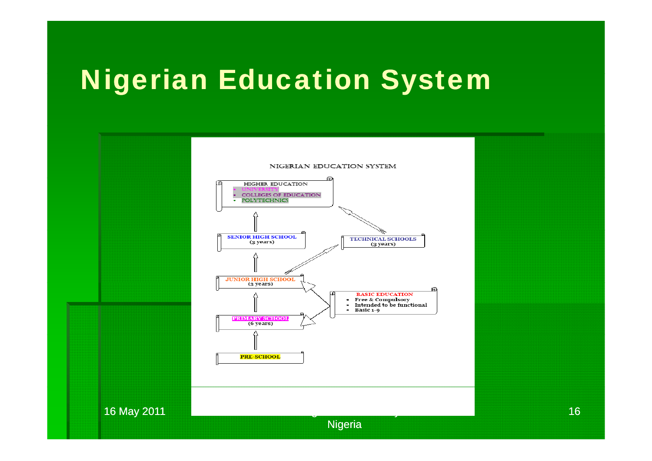## Nigerian Education System



16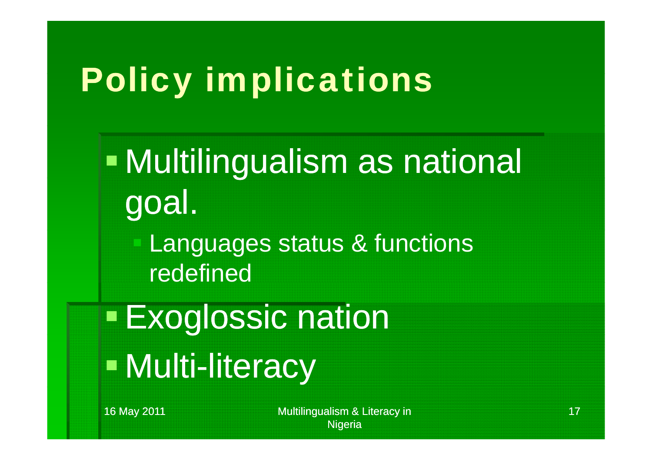# Policy implications

T. Multilin gualism as national goal.

 Languages status & functions redefined

Exo glossic nation en de la provincia de la provincia de la provincia de la provincia de la provincia de la provincia de la provi<br>La provincia de la provincia de la provincia de la provincia de la provincia de la provincia de la provincia d **- Multi-literacy** 

16 May 2011 **Multilingualism & Literacy in** Multilingualism & Literacy in **Nigeria**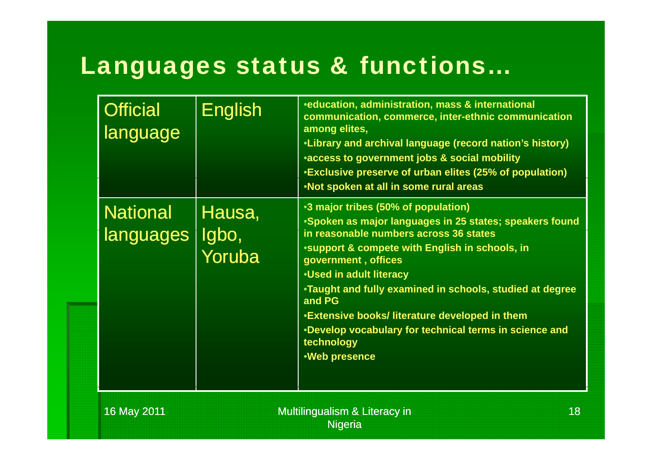### Languages status & functions…

| <b>Official</b><br>language  | <b>English</b>            | <b>*education, administration, mass &amp; international</b><br>communication, commerce, inter-ethnic communication<br>among elites,<br>•Library and archival language (record nation's history)<br>*access to government jobs & social mobility<br>•Exclusive preserve of urban elites (25% of population)<br>•Not spoken at all in some rural areas                                                                                                                               |
|------------------------------|---------------------------|------------------------------------------------------------------------------------------------------------------------------------------------------------------------------------------------------------------------------------------------------------------------------------------------------------------------------------------------------------------------------------------------------------------------------------------------------------------------------------|
| <b>National</b><br>languages | Hausa,<br>Igbo,<br>Yoruba | •3 major tribes (50% of population)<br>•Spoken as major languages in 25 states; speakers found<br>in reasonable numbers across 36 states<br>*support & compete with English in schools, in<br>government, offices<br><b>.Used in adult literacy</b><br>•Taught and fully examined in schools, studied at degree<br>and PG<br><b>.Extensive books/ literature developed in them</b><br>•Develop vocabulary for technical terms in science and<br>technology<br><b>.Web presence</b> |
| 16 May 2011                  |                           | 18<br><b>Multilingualism &amp; Literacy in</b><br><b>Nigeria</b>                                                                                                                                                                                                                                                                                                                                                                                                                   |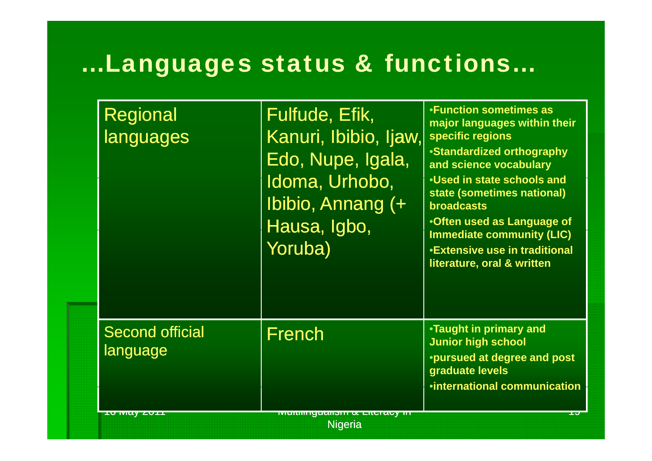### …Languages status & functions…

| <b>Regional</b><br>languages       | Fulfude, Efik,<br>Kanuri, Ibibio, Ijaw,<br>Edo, Nupe, Igala,<br>Idoma, Urhobo,<br>Ibibio, Annang (+<br>Hausa, Igbo,<br>Yoruba) | •Function sometimes as<br>major languages within their<br>specific regions<br>•Standardized orthography<br>and science vocabulary<br>•Used in state schools and<br>state (sometimes national)<br><b>broadcasts</b><br>•Often used as Language of<br><b>Immediate community (LIC)</b><br><b>*Extensive use in traditional</b><br>literature, oral & written |
|------------------------------------|--------------------------------------------------------------------------------------------------------------------------------|------------------------------------------------------------------------------------------------------------------------------------------------------------------------------------------------------------------------------------------------------------------------------------------------------------------------------------------------------------|
| <b>Second official</b><br>language | French                                                                                                                         | •Taught in primary and<br><b>Junior high school</b><br>*pursued at degree and post<br>graduate levels<br><i><b>•international communication</b></i>                                                                                                                                                                                                        |
| <b>IV MCYZVII</b>                  | <u> МЕШШЕРССПОНКА ЧАСТСОУ Ш</u><br><b>Nigeria</b>                                                                              | <b>INCA</b>                                                                                                                                                                                                                                                                                                                                                |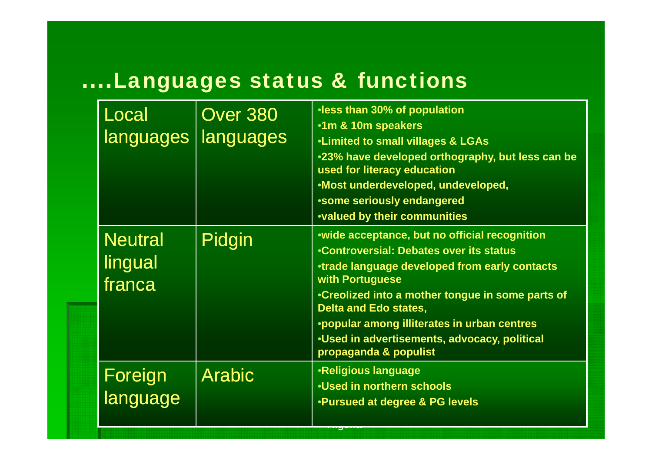#### ....Languages status & functions

| Local<br>languages                  | <b>Over 380</b><br>languages | •less than 30% of population<br>•1m & 10m speakers<br><b>.Limited to small villages &amp; LGAs</b><br>.23% have developed orthography, but less can be<br>used for literacy education<br>•Most underdeveloped, undeveloped,<br>*some seriously endangered<br><b>.Valued by their communities</b>                                                                                |
|-------------------------------------|------------------------------|---------------------------------------------------------------------------------------------------------------------------------------------------------------------------------------------------------------------------------------------------------------------------------------------------------------------------------------------------------------------------------|
| <b>Neutral</b><br>lingual<br>franca | Pidgin                       | •wide acceptance, but no official recognition<br>•Controversial: Debates over its status<br><b>•trade language developed from early contacts</b><br>with Portuguese<br>•Creolized into a mother tongue in some parts of<br><b>Delta and Edo states,</b><br>•popular among illiterates in urban centres<br>.Used in advertisements, advocacy, political<br>propaganda & populist |
| Foreign<br>language                 | <b>Arabic</b>                | <b>•Religious language</b><br>•Used in northern schools<br><b>.Pursued at degree &amp; PG levels</b>                                                                                                                                                                                                                                                                            |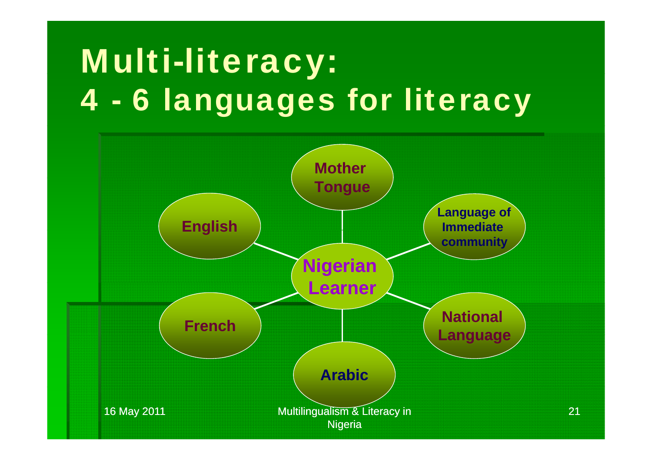#### Multi-literac y: 4 - 6 languages for literacy

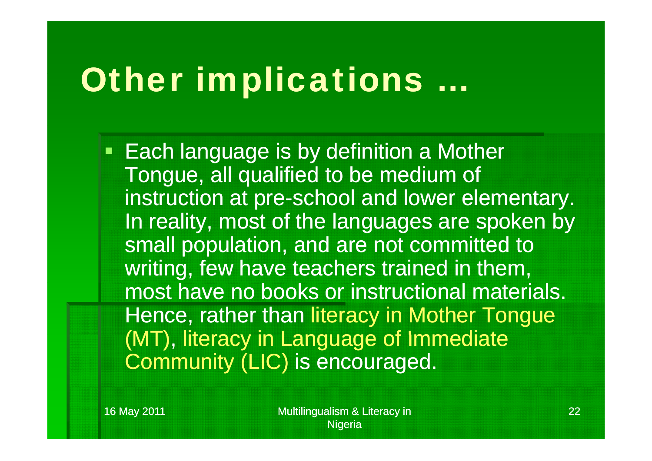#### Other implications …

**Each language is by definition a Mother** Tongue, all qualified to be medium of instruction at pre-school and lower elementary. In reality, most of the languages are spoken by small population, and are not committed to writing, few have teachers trained in them, most have no books or instructional materials. Hence, rather than literacy in Mother Tongue (MT), literacy in Language of Immediate Community (LIC) is encouraged.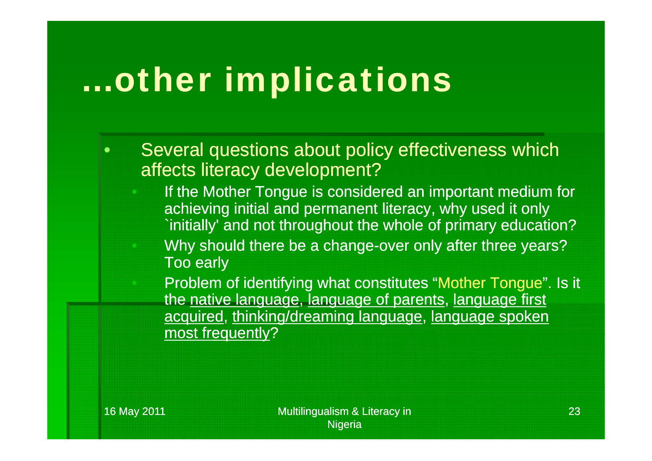# …other implications

- Several questions about policy effectiveness which affects literacy development?
	- If the Mother Tongue is considered an important medium for achieving initial and permanent literacy, why used it only `initially' and not throughout the whole of primary education?
		- Why should there be a change-over only after three years? Too early
	- Problem of identifying what constitutes "Mother Tongue" . Is it the native language, language of parents, language first acquired, thinking/dreaming language, language spoken most frequently?

 $\bullet$ 

 $\subset$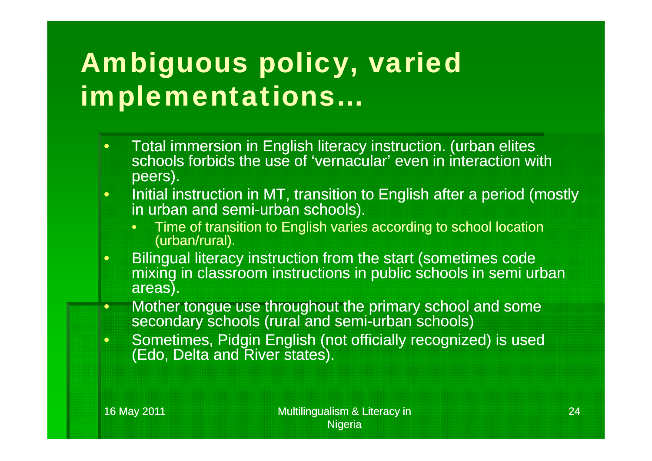## Ambiguous policy, varied implementations…

- $\bullet$  Total immersion in English literacy instruction. (urban elites schools forbids the use of 'vernacular' even in interaction with peers).
- $\bullet$  Initial instruction in MT, transition to English after a period (mostly in urban and semi-urban schools).
	- •Time of transition to English varies according to school location (urban/rural).
- $\bullet$  Bilingual literacy instruction from the start (sometimes code mixing in classroom instructions in public schools in semi urban areas).
- $\bullet$ • Mother tongue use throughout the primary school and some secondary schools (rural and semi-urban schools)
- $\bullet$ • Sometimes, Pidgin English (not officially recognized) is used (Edo, Delta and River states).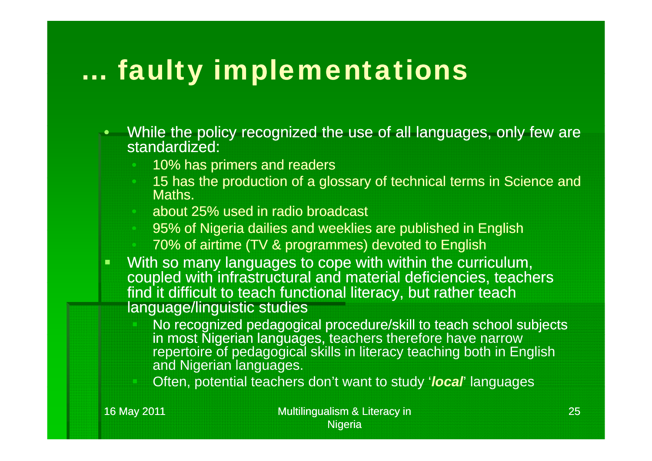## … faulty implementations

- $\bullet$ • While the policy recognized the use of all languages, only few are standardized:
	- 10% has primers and readers
	- 15 has the production of a glossary of technical terms in Science and Maths.
	- about 25% used in radio broadcast
	- 95 % of Nigeria dailies and weeklies are published in English
	- 70% of airtime (TV & programmes) devoted to English
- With so many languages to cope with within the curriculum, coupled with infrastructural and material deficiencies, teachers find it difficult to teach functional literacy, but rather teach language/linguistic studies
	- No recognized pedagogical procedure/skill to teach school subjects in most Ñigerian languages, teachers therefore have narrow<br>repertoire of pedagogical skills in literacy teaching both in English and Nigerian languages.
	- **b** Often, potential teachers don't want to study '*local*' languages

16 May 2011 **Multilingualism & Literacy in** Multilingualism & Literacy in **Nigeria**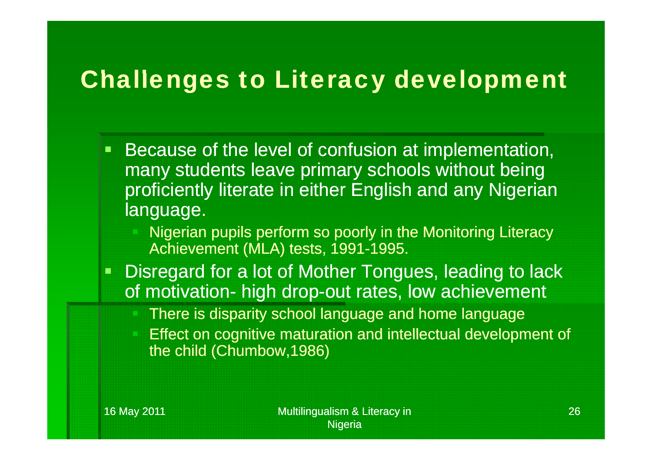#### **Challenges to Literacy development**

- $\Box$  Because of the level of confusion at implementation, many students leave primary schools without being proficiently literate in either English and any Nigerian language.
	- Nigerian pupils perform so poorly in the Monitoring Literacy Achievement (MLA) tests, 1991-1995.
- $\Box$  Disregard for a lot of Mother Tongues, leading to lack of motivation- high drop-out rates, low achievement
	- There is disparity school language and home language
	- Effect on cognitive maturation and intellectual development of the child (Chumbow,1986)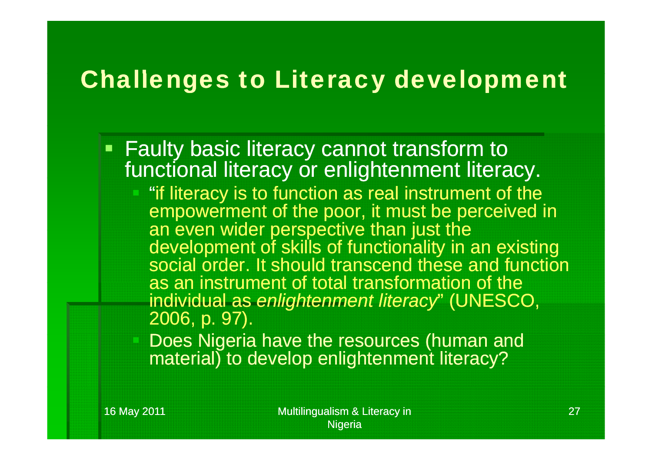#### **Challenges to Literacy development**

- Faulty basic literacy cannot transform to functional literacy or enlightenment literacy.
	- "if literacy is to function as real instrument of the empowerment of the poor, it must be perceived in an even wider perspective than just the development of skills of functionality in an existing social order. It should transcend these and function as an instrument of total transformation of the individual as *enlightenment literacy*" (UNESCO, 2006, p. 97).
	- Does Nigeria have the resources (human and material) to develop enlightenment literacy?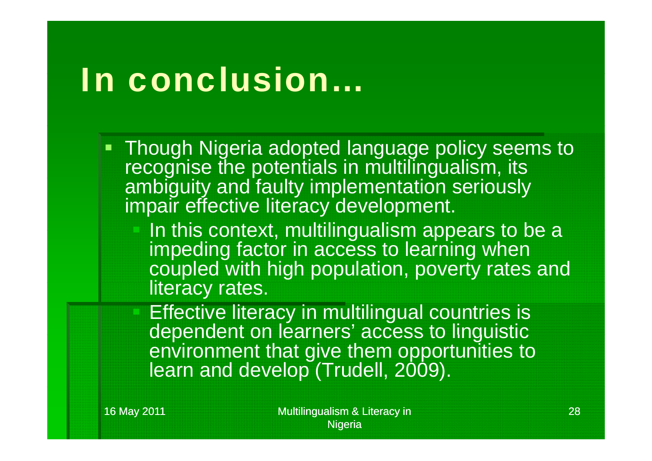# In conclusion…

- Though Nigeria adopted language policy seems to recognise the potentials in multilingualism, its ambiguity and faulty implementation seriously impair effective literacy development.
	- $\blacksquare$  In this context, multilingualism appears to be a impeding factor in access to learning when coupled with high population, poverty rates and literacy rates.

 Effective literacy in multilingual countries is dependent on learners' access to linguistic environment that give them opportunities to learn and develop (Trudell, 2009).